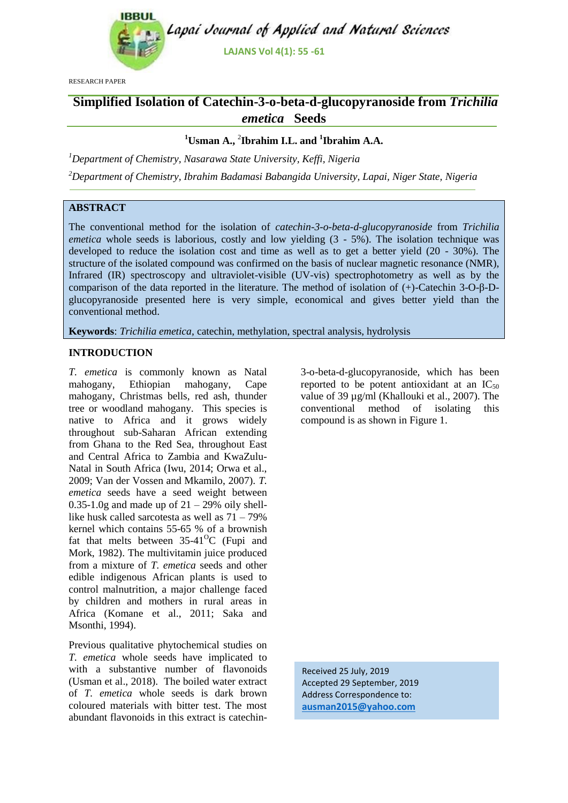

RESEARCH PAPER

# **Simplified Isolation of Catechin-3-o-beta-d-glucopyranoside from** *Trichilia emetica* **Seeds**

## **<sup>1</sup>Usman A.,** <sup>2</sup> **Ibrahim I.L. and <sup>1</sup> Ibrahim A.A.**

*<sup>1</sup>Department of Chemistry, Nasarawa State University, Keffi, Nigeria*

*<sup>2</sup>Department of Chemistry, Ibrahim Badamasi Babangida University, Lapai, Niger State, Nigeria*

# **ABSTRACT**

The conventional method for the isolation of *catechin-3-o-beta-d-glucopyranoside* from *Trichilia emetica* whole seeds is laborious, costly and low yielding (3 - 5%). The isolation technique was developed to reduce the isolation cost and time as well as to get a better yield (20 - 30%). The structure of the isolated compound was confirmed on the basis of nuclear magnetic resonance (NMR), Infrared (IR) spectroscopy and ultraviolet-visible (UV-vis) spectrophotometry as well as by the comparison of the data reported in the literature. The method of isolation of (+)-Catechin 3-O-β-Dglucopyranoside presented here is very simple, economical and gives better yield than the conventional method.

**Keywords**: *Trichilia emetica*, catechin, methylation, spectral analysis, hydrolysis

#### **INTRODUCTION**

*T. emetica* is commonly known as Natal mahogany, Ethiopian mahogany, Cape mahogany, Christmas bells, red ash, thunder tree or woodland mahogany. This species is native to Africa and it grows widely throughout sub-Saharan African extending from Ghana to the Red Sea, throughout East and Central Africa to Zambia and KwaZulu-Natal in South Africa (Iwu, 2014; Orwa et al., 2009; Van der Vossen and Mkamilo, 2007). *T. emetica* seeds have a seed weight between  $0.35-1.0g$  and made up of  $21 - 29%$  oily shelllike husk called sarcotesta as well as 71 – 79% kernel which contains 55-65 % of a brownish fat that melts between  $35-41^{\circ}$ C (Fupi and Mork, 1982). The multivitamin juice produced from a mixture of *T. emetica* seeds and other edible indigenous African plants is used to control malnutrition, a major challenge faced by children and mothers in rural areas in Africa (Komane et al., 2011; Saka and Msonthi, 1994).

Previous qualitative phytochemical studies on *T. emetica* whole seeds have implicated to with a substantive number of flavonoids (Usman et al., 2018). The boiled water extract of *T. emetica* whole seeds is dark brown coloured materials with bitter test. The most abundant flavonoids in this extract is catechin3-o-beta-d-glucopyranoside, which has been reported to be potent antioxidant at an  $IC_{50}$ value of 39 µg/ml (Khallouki et al., 2007). The conventional method of isolating this compound is as shown in Figure 1.

Received 25 July, 2019 Accepted 29 September, 2019 Address Correspondence to: **ausman2015@yahoo.com**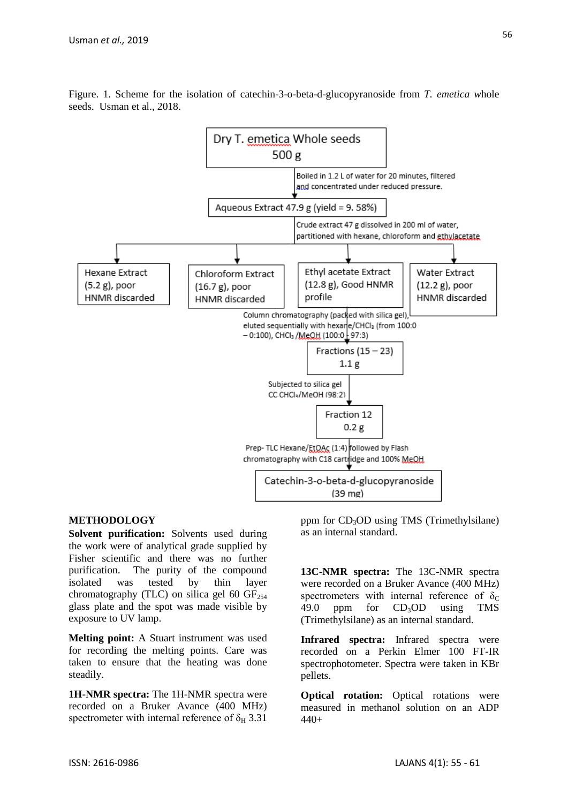

Figure. 1. Scheme for the isolation of catechin-3-o-beta-d-glucopyranoside from *T. emetica w*hole seeds. Usman et al., 2018.

#### **METHODOLOGY**

**Solvent purification:** Solvents used during the work were of analytical grade supplied by Fisher scientific and there was no further purification. The purity of the compound isolated was tested by thin layer chromatography (TLC) on silica gel 60  $GF<sub>254</sub>$ glass plate and the spot was made visible by exposure to UV lamp.

**Melting point:** A Stuart instrument was used for recording the melting points. Care was taken to ensure that the heating was done steadily.

**1H-NMR spectra:** The 1H-NMR spectra were recorded on a Bruker Avance (400 MHz) spectrometer with internal reference of  $\delta_H$  3.31

ppm for  $CD_3OD$  using TMS (Trimethylsilane) as an internal standard.

**13C-NMR spectra:** The 13C-NMR spectra were recorded on a Bruker Avance (400 MHz) spectrometers with internal reference of  $\delta_c$ 49.0 ppm for  $CD<sub>3</sub>OD$  using TMS (Trimethylsilane) as an internal standard.

**Infrared spectra:** Infrared spectra were recorded on a Perkin Elmer 100 FT-IR spectrophotometer. Spectra were taken in KBr pellets.

**Optical rotation:** Optical rotations were measured in methanol solution on an ADP 440+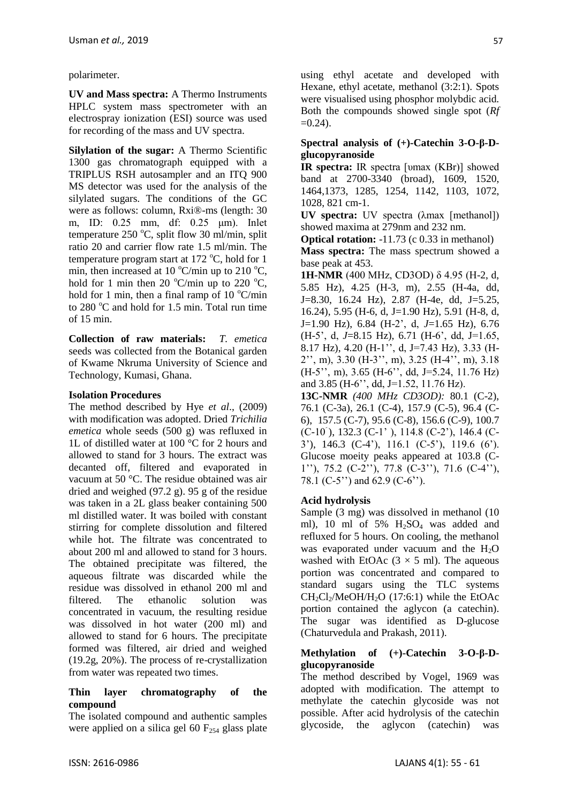polarimeter.

**UV and Mass spectra:** A Thermo Instruments HPLC system mass spectrometer with an electrospray ionization (ESI) source was used for recording of the mass and UV spectra.

**Silylation of the sugar:** A Thermo Scientific 1300 gas chromatograph equipped with a TRIPLUS RSH autosampler and an ITQ 900 MS detector was used for the analysis of the silylated sugars. The conditions of the GC were as follows: column, Rxi®-ms (length: 30 m, ID: 0.25 mm, df: 0.25 μm). Inlet temperature 250  $^{\circ}$ C, split flow 30 ml/min, split ratio 20 and carrier flow rate 1.5 ml/min. The temperature program start at 172  $^{\circ}$ C, hold for 1 min, then increased at 10  $\mathrm{C/min}$  up to 210  $\mathrm{C}$ , hold for 1 min then 20  $^{\circ}$ C/min up to 220  $^{\circ}$ C, hold for 1 min, then a final ramp of 10  $\mathrm{C/min}$ to  $280^{\circ}$ C and hold for 1.5 min. Total run time of 15 min.

**Collection of raw materials:** *T. emetica*  seeds was collected from the Botanical garden of Kwame Nkruma University of Science and Technology, Kumasi, Ghana.

# **Isolation Procedures**

The method described by Hye *et al*., (2009) with modification was adopted. Dried *Trichilia emetica* whole seeds (500 g) was refluxed in 1L of distilled water at 100 °C for 2 hours and allowed to stand for 3 hours. The extract was decanted off, filtered and evaporated in vacuum at 50 °C. The residue obtained was air dried and weighed (97.2 g). 95 g of the residue was taken in a 2L glass beaker containing 500 ml distilled water. It was boiled with constant stirring for complete dissolution and filtered while hot. The filtrate was concentrated to about 200 ml and allowed to stand for 3 hours. The obtained precipitate was filtered, the aqueous filtrate was discarded while the residue was dissolved in ethanol 200 ml and filtered. The ethanolic solution was concentrated in vacuum, the resulting residue was dissolved in hot water (200 ml) and allowed to stand for 6 hours. The precipitate formed was filtered, air dried and weighed (19.2g, 20%). The process of re-crystallization from water was repeated two times.

#### **Thin layer chromatography of the compound**

The isolated compound and authentic samples were applied on a silica gel 60  $F_{254}$  glass plate using ethyl acetate and developed with Hexane, ethyl acetate, methanol (3:2:1). Spots were visualised using phosphor molybdic acid. Both the compounds showed single spot (*Rf*   $=0.24$ ).

### **Spectral analysis of (+)-Catechin 3-O-β-Dglucopyranoside**

**IR spectra:** IR spectra [υmax (KBr)] showed band at 2700-3340 (broad), 1609, 1520, 1464,1373, 1285, 1254, 1142, 1103, 1072, 1028, 821 cm-1.

**UV spectra:** UV spectra (λmax [methanol]) showed maxima at 279nm and 232 nm.

**Optical rotation:** -11.73 (c 0.33 in methanol)

**Mass spectra:** The mass spectrum showed a base peak at 453.

**1H-NMR** (400 MHz, CD3OD) δ 4.95 (H-2, d, 5.85 Hz), 4.25 (H-3, m), 2.55 (H-4a, dd, J=8.30, 16.24 Hz), 2.87 (H-4e, dd, J=5.25, 16.24), 5.95 (H-6, d, J=1.90 Hz), 5.91 (H-8, d, J=1.90 Hz), 6.84 (H-2', d, *J*=1.65 Hz), 6.76 (H-5', d, *J*=8.15 Hz), 6.71 (H-6', dd, J=1.65, 8.17 Hz), 4.20 (H-1'', d, J=7.43 Hz), 3.33 (H-2'', m), 3.30 (H-3'', m), 3.25 (H-4'', m), 3.18 (H-5'', m), 3.65 (H-6'', dd, J=5.24, 11.76 Hz) and 3.85 (H-6'', dd, J=1.52, 11.76 Hz).

**13C-NMR** *(400 MHz CD3OD):* 80.1 (C-2), 76.1 (C-3a), 26.1 (C-4), 157.9 (C-5), 96.4 (C-6), 157.5 (C-7), 95.6 (C-8), 156.6 (C-9), 100.7 (C-10 ), 132.3 (C-1' ), 114.8 (C-2'), 146.4 (C-3'), 146.3 (C-4'), 116.1 (C-5'), 119.6 (6'). Glucose moeity peaks appeared at 103.8 (C-1''), 75.2 (C-2''), 77.8 (C-3''), 71.6 (C-4''), 78.1 (C-5") and 62.9 (C-6").

# **Acid hydrolysis**

Sample (3 mg) was dissolved in methanol (10 ml), 10 ml of 5%  $H<sub>2</sub>SO<sub>4</sub>$  was added and refluxed for 5 hours. On cooling, the methanol was evaporated under vacuum and the  $H_2O$ washed with EtOAc  $(3 \times 5 \text{ ml})$ . The aqueous portion was concentrated and compared to standard sugars using the TLC systems  $CH_2Cl_2/MeOH/H_2O$  (17:6:1) while the EtOAc portion contained the aglycon (a catechin). The sugar was identified as D-glucose (Chaturvedula and Prakash, 2011).

#### **Methylation of (+)-Catechin 3-O-β-Dglucopyranoside**

The method described by Vogel, 1969 was adopted with modification. The attempt to methylate the catechin glycoside was not possible. After acid hydrolysis of the catechin glycoside, the aglycon (catechin) was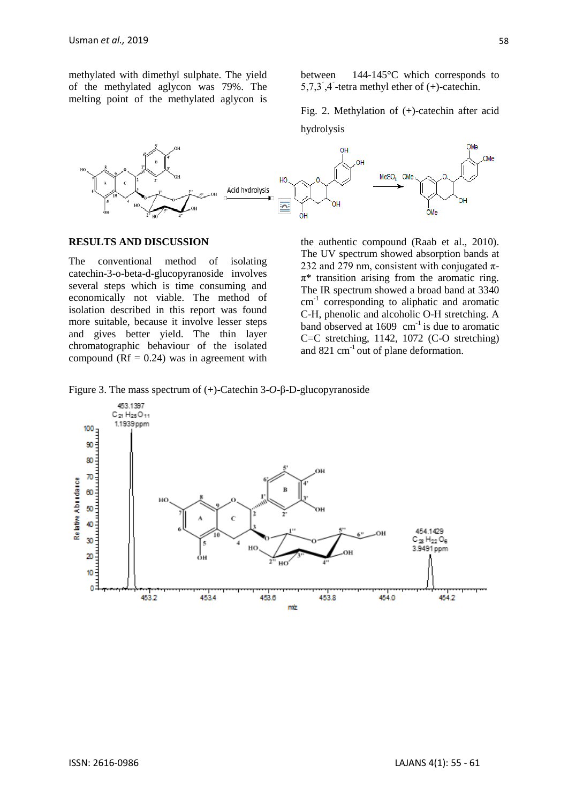methylated with dimethyl sulphate. The yield of the methylated aglycon was 79%. The melting point of the methylated aglycon is between 144-145°C which corresponds to  $5,7,3$ ,  $4$  -tetra methyl ether of (+)-catechin.

Fig. 2. Methylation of (+)-catechin after acid hydrolysis



#### **RESULTS AND DISCUSSION**

The conventional method of isolating catechin-3-o-beta-d-glucopyranoside involves several steps which is time consuming and economically not viable. The method of isolation described in this report was found more suitable, because it involve lesser steps and gives better yield. The thin layer chromatographic behaviour of the isolated compound ( $Rf = 0.24$ ) was in agreement with

the authentic compound (Raab et al., 2010). The UV spectrum showed absorption bands at 232 and 279 nm, consistent with conjugated  $\pi$ - $\pi^*$  transition arising from the aromatic ring. The IR spectrum showed a broad band at 3340 cm<sup>-1</sup> corresponding to aliphatic and aromatic C-H, phenolic and alcoholic O-H stretching. A band observed at  $1609 \text{ cm}^{-1}$  is due to aromatic C=C stretching, 1142, 1072 (C-O stretching) and 821 cm-1 out of plane deformation.

Figure 3. The mass spectrum of (+)-Catechin 3-*O*-β-D-glucopyranoside

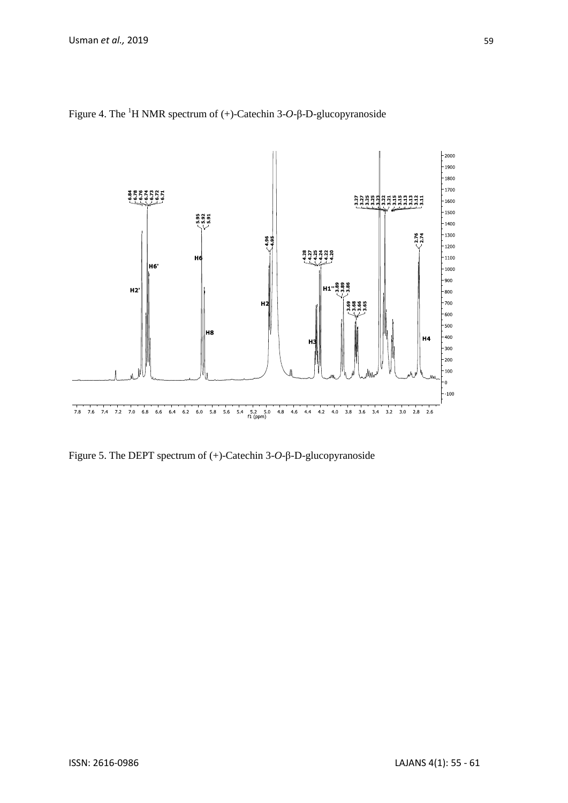

Figure 4. The <sup>1</sup>H NMR spectrum of (+)-Catechin 3-*O*-β-D-glucopyranoside

Figure 5. The DEPT spectrum of (+)-Catechin 3-*O*-β-D-glucopyranoside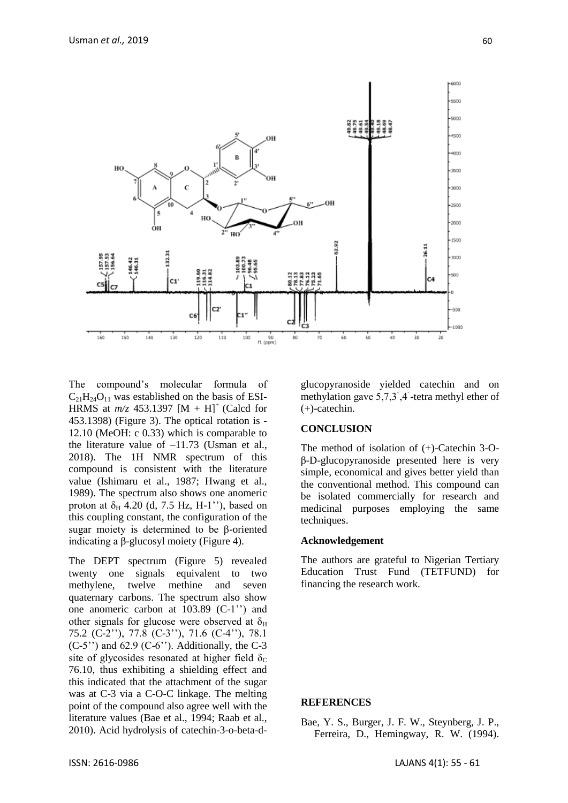

The compound's molecular formula of  $C_{21}H_{24}O_{11}$  was established on the basis of ESI-HRMS at  $m/z$  453.1397 [M + H]<sup>+</sup> (Calcd for 453.1398) (Figure 3). The optical rotation is - 12.10 (MeOH: c 0.33) which is comparable to the literature value of –11.73 (Usman et al., 2018). The 1H NMR spectrum of this compound is consistent with the literature value (Ishimaru et al., 1987; Hwang et al., 1989). The spectrum also shows one anomeric proton at  $\delta_H$  4.20 (d, 7.5 Hz, H-1<sup>''</sup>), based on this coupling constant, the configuration of the sugar moiety is determined to be β-oriented indicating a β-glucosyl moiety (Figure 4).

The DEPT spectrum (Figure 5) revealed twenty one signals equivalent to two methylene, twelve methine and seven quaternary carbons. The spectrum also show one anomeric carbon at 103.89 (C-1'') and other signals for glucose were observed at  $\delta_{\rm H}$ 75.2 (C-2''), 77.8 (C-3''), 71.6 (C-4''), 78.1  $(C-5'')$  and 62.9  $(C-6'')$ . Additionally, the C-3 site of glycosides resonated at higher field  $\delta_c$ 76.10, thus exhibiting a shielding effect and this indicated that the attachment of the sugar was at C-3 via a C-O-C linkage. The melting point of the compound also agree well with the literature values (Bae et al., 1994; Raab et al., 2010). Acid hydrolysis of catechin-3-o-beta-dglucopyranoside yielded catechin and on methylation gave  $5.7.3$ ,  $4$  -tetra methyl ether of (+)-catechin.

#### **CONCLUSION**

The method of isolation of (+)-Catechin 3-Oβ-D-glucopyranoside presented here is very simple, economical and gives better yield than the conventional method. This compound can be isolated commercially for research and medicinal purposes employing the same techniques.

#### **Acknowledgement**

The authors are grateful to Nigerian Tertiary Education Trust Fund (TETFUND) for financing the research work.

#### **REFERENCES**

Bae, Y. S., Burger, J. F. W., Steynberg, J. P., Ferreira, D., Hemingway, R. W. (1994).